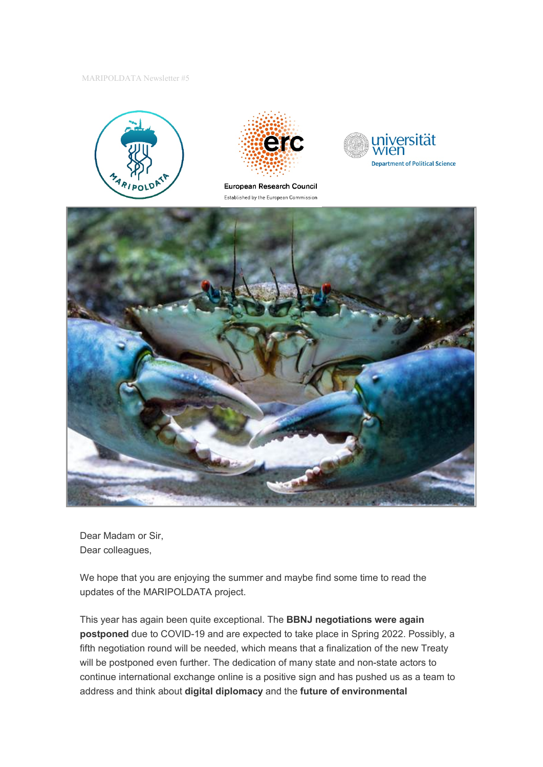MARIPOLDATA Newsletter #5





European Research Council Established by the European Commission





Dear Madam or Sir, Dear colleagues,

We hope that you are enjoying the summer and maybe find some time to read the updates of the MARIPOLDATA project.

This year has again been quite exceptional. The **BBNJ negotiations were again postponed** due to COVID-19 and are expected to take place in Spring 2022. Possibly, a fifth negotiation round will be needed, which means that a finalization of the new Treaty will be postponed even further. The dedication of many state and non-state actors to continue international exchange online is a positive sign and has pushed us as a team to address and think about **digital diplomacy** and the **future of environmental**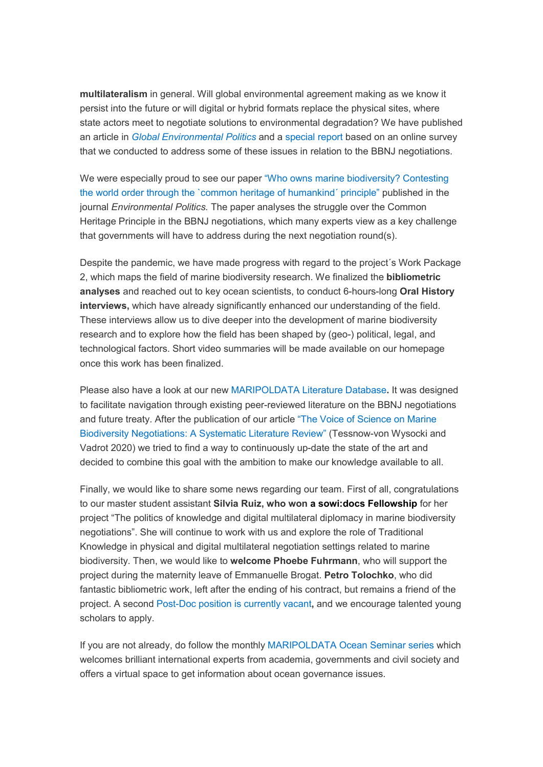**multilateralism** in general. Will global environmental agreement making as we know it persist into the future or will digital or hybrid formats replace the physical sites, where state actors meet to negotiate solutions to environmental degradation? We have published an article in *[Global Environmental Politics](https://direct.mit.edu/glep/article/21/3/169/98539/Marine-Biodiversity-Negotiations-During-COVID-19-A)* and a [special report](https://www.maripoldata.eu/wp-content/uploads/2021/03/MARIPOLDATA_Special_Report_COVID-19-and-the-BBNJ-negotiations_March_2021.pdf) based on an online survey that we conducted to address some of these issues in relation to the BBNJ negotiations.

We were especially proud to see our paper ["Who owns marine biodiversity? Contesting](https://www.tandfonline.com/doi/full/10.1080/09644016.2021.1911442)  [the world order through the `common heritage of humankind´ principle"](https://www.tandfonline.com/doi/full/10.1080/09644016.2021.1911442) published in the journal *Environmental Politics.* The paper analyses the struggle over the Common Heritage Principle in the BBNJ negotiations, which many experts view as a key challenge that governments will have to address during the next negotiation round(s).

Despite the pandemic, we have made progress with regard to the project´s Work Package 2, which maps the field of marine biodiversity research. We finalized the **bibliometric analyses** and reached out to key ocean scientists, to conduct 6-hours-long **Oral History interviews,** which have already significantly enhanced our understanding of the field. These interviews allow us to dive deeper into the development of marine biodiversity research and to explore how the field has been shaped by (geo-) political, legal, and technological factors. Short video summaries will be made available on our homepage once this work has been finalized.

Please also have a look at our new [MARIPOLDATA Literature Database](https://erc-maripoldata.shinyapps.io/bbnj_literature_database/)**.** It was designed to facilitate navigation through existing peer-reviewed literature on the BBNJ negotiations and future treaty. After the publication of our article ["The Voice of Science on Marine](https://www.frontiersin.org/articles/10.3389/fmars.2020.614282/full)  [Biodiversity Negotiations: A Systematic Literature Review"](https://www.frontiersin.org/articles/10.3389/fmars.2020.614282/full) (Tessnow-von Wysocki and Vadrot 2020) we tried to find a way to continuously up-date the state of the art and decided to combine this goal with the ambition to make our knowledge available to all.

Finally, we would like to share some news regarding our team. First of all, congratulations to our master student assistant **Silvia Ruiz, who won [a sowi:docs Fellowship](https://vds-sosci.univie.ac.at/people/sowidocs-fellows/sowidocs-fellows-2021/)** for her project "The politics of knowledge and digital multilateral diplomacy in marine biodiversity negotiations". She will continue to work with us and explore the role of Traditional Knowledge in physical and digital multilateral negotiation settings related to marine biodiversity. Then, we would like to **welcome Phoebe Fuhrmann**, who will support the project during the maternity leave of Emmanuelle Brogat. **Petro Tolochko**, who did fantastic bibliometric work, left after the ending of his contract, but remains a friend of the project. A second [Post-Doc position is currently vacant](https://www.maripoldata.eu/wp-content/uploads/2021/08/Job-Vacancy_PostDoc_MARIPOLDATA_Deadline_Application_31_10_2021.pdf)**,** and we encourage talented young scholars to apply.

If you are not already, do follow the monthly [MARIPOLDATA Ocean Seminar series](https://www.maripoldata.eu/newsevents/#oceanseminarlaunch) which welcomes brilliant international experts from academia, governments and civil society and offers a virtual space to get information about ocean governance issues.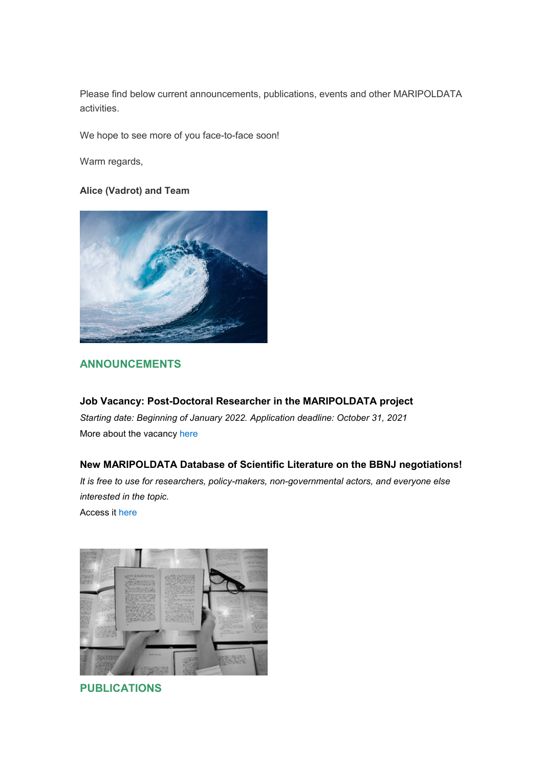Please find below current announcements, publications, events and other MARIPOLDATA activities.

We hope to see more of you face-to-face soon!

Warm regards,

## **Alice (Vadrot) and Team**



## **ANNOUNCEMENTS**

**Job Vacancy: Post-Doctoral Researcher in the MARIPOLDATA project** *Starting date: Beginning of January 2022. Application deadline: October 31, 2021* More about the vacancy [here](https://politikwissenschaft.univie.ac.at/details/news/open-position-post-doctoral-researcher-within-the-erc-project-maripoldata-1/?tx_news_pi1%5Bcontroller%5D=News&tx_news_pi1%5Baction%5D=detail&cHash=50e24fb7e2a5a2faaaa51fd058988e4d)

## **New MARIPOLDATA Database of Scientific Literature on the BBNJ negotiations!**

*It is free to use for researchers, policy-makers, non-governmental actors, and everyone else interested in the topic.* 

Access it [here](https://erc-maripoldata.shinyapps.io/bbnj_literature_database/)



**PUBLICATIONS**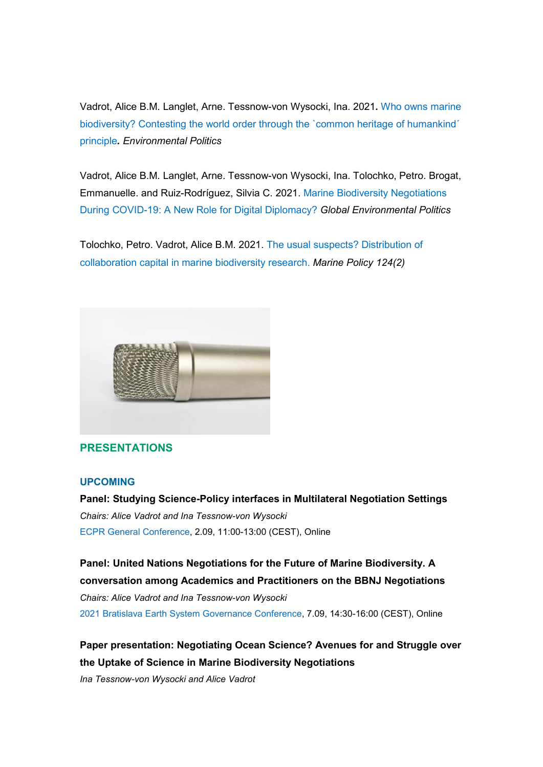Vadrot, Alice B.M. Langlet, Arne. Tessnow-von Wysocki, Ina. 2021*.* [Who owns marine](https://www.tandfonline.com/doi/full/10.1080/09644016.2021.1911442)  biodiversity? Contesting the world order through the `common heritage of humankind´ [principle](https://www.tandfonline.com/doi/full/10.1080/09644016.2021.1911442)*. Environmental Politics*

Vadrot, Alice B.M. Langlet, Arne. Tessnow-von Wysocki, Ina. Tolochko, Petro. Brogat, Emmanuelle. and Ruiz-Rodríguez, Silvia C. 2021. [Marine Biodiversity Negotiations](https://direct.mit.edu/glep/article/doi/10.1162/glep_a_00605/98539/Marine-Biodiversity-Negotiations-During-COVID-19-A)  [During COVID-19: A New Role for Digital Diplomacy?](https://direct.mit.edu/glep/article/doi/10.1162/glep_a_00605/98539/Marine-Biodiversity-Negotiations-During-COVID-19-A) *Global Environmental Politics*

Tolochko, Petro. Vadrot, Alice B.M. 2021. [The usual suspects? Distribution of](https://www.sciencedirect.com/science/article/pii/S0308597X20309659)  [collaboration capital in marine biodiversity research](https://www.sciencedirect.com/science/article/pii/S0308597X20309659). *Marine Policy 124(2)*



#### **PRESENTATIONS**

#### **UPCOMING**

**Panel: Studying Science-Policy interfaces in Multilateral Negotiation Settings** *Chairs: Alice Vadrot and Ina Tessnow-von Wysocki* [ECPR General Conference,](https://ecpr.eu/Events/Event/PanelDetails/10729) 2.09, 11:00-13:00 (CEST), Online

**Panel: United Nations Negotiations for the Future of Marine Biodiversity. A conversation among Academics and Practitioners on the BBNJ Negotiations** *Chairs: Alice Vadrot and Ina Tessnow-von Wysocki* [2021 Bratislava Earth System Governance Conference,](https://www.earthsystemgovernance.org/2021bratislava/) 7.09, 14:30-16:00 (CEST), Online

**Paper presentation: Negotiating Ocean Science? Avenues for and Struggle over the Uptake of Science in Marine Biodiversity Negotiations**

*Ina Tessnow-von Wysocki and Alice Vadrot*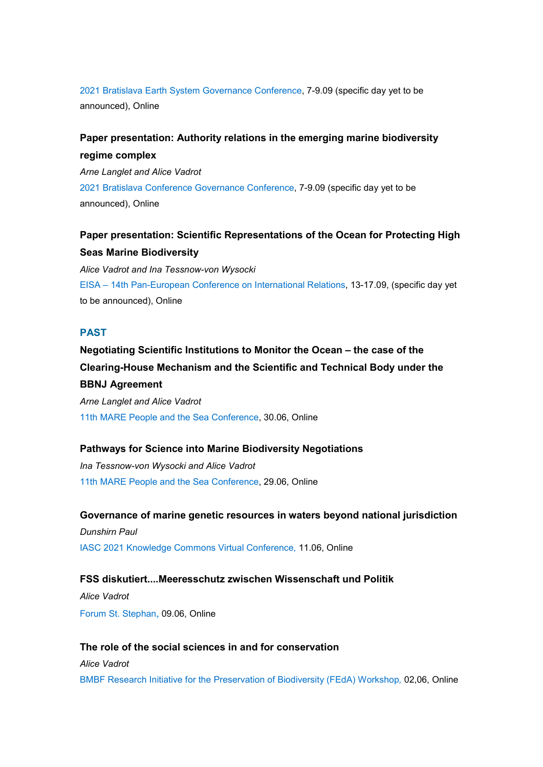[2021 Bratislava Earth System Governance Conference,](http://www.earthsystemgovernance.org/2021bratislava/wp-content/uploads/2021/07/Book-of-Abstract-First-Draft.pdf) 7-9.09 (specific day yet to be announced), Online

## **Paper presentation: Authority relations in the emerging marine biodiversity regime complex**

*Arne Langlet and Alice Vadrot*  [2021 Bratislava Conference Governance Conference,](http://www.earthsystemgovernance.org/2021bratislava/wp-content/uploads/2021/07/Book-of-Abstract-First-Draft.pdf) 7-9.09 (specific day yet to be announced), Online

# **Paper presentation: Scientific Representations of the Ocean for Protecting High Seas Marine Biodiversity**

*Alice Vadrot and Ina Tessnow-von Wysocki* EISA – [14th Pan-European Conference on International Relations,](https://eisa-net.org/pec-2021/) 13-17.09, (specific day yet to be announced), Online

## **PAST**

# **Negotiating Scientific Institutions to Monitor the Ocean – the case of the Clearing-House Mechanism and the Scientific and Technical Body under the BBNJ Agreement**

*Arne Langlet and Alice Vadrot*  [11th MARE People and the Sea Conference,](https://event.mare2021.exordo.com/presentation/364/negotiating-scientific-institutions-to-monitor-the-ocean-the-case-of-the-clearing-house-mechanism-and-the-scientific-and-technical-body-under-the-bbnj-agreement) 30.06, Online

#### **Pathways for Science into Marine Biodiversity Negotiations**

*Ina Tessnow-von Wysocki and Alice Vadrot*  [11th MARE People and the Sea Conference,](https://event.mare2021.exordo.com/presentation/95/pathways-for-science-into-marine-biodiversity-negotiations) 29.06, Online

## **Governance of marine genetic resources in waters beyond national jurisdiction**

*Dunshirn Paul* [IASC 2021 Knowledge Commons Virtual Conference](https://politikwissenschaft.univie.ac.at/details/news/commons-governance-of-marine-genetic-resources-in-waters-beyond-national-jurisdiction/?tx_news_pi1%5Bcontroller%5D=News&tx_news_pi1%5Baction%5D=detail&cHash=bbcd2414b35a422c69e65e6940b8ef89)*,* 11.06, Online

#### **FSS diskutiert....Meeresschutz zwischen Wissenschaft und Politik**

*Alice Vadrot*  [Forum St. Stephan](https://forum-st-stephan.at/kommendeveranstaltungen/alicevadrot), 09.06, Online

#### **The role of the social sciences in and for conservation**

*Alice Vadrot* 

[BMBF Research Initiative for the Preservation of Biodiversity \(FEdA\) Workshop](https://www.feda.bio/en/)*,* 02,06, Online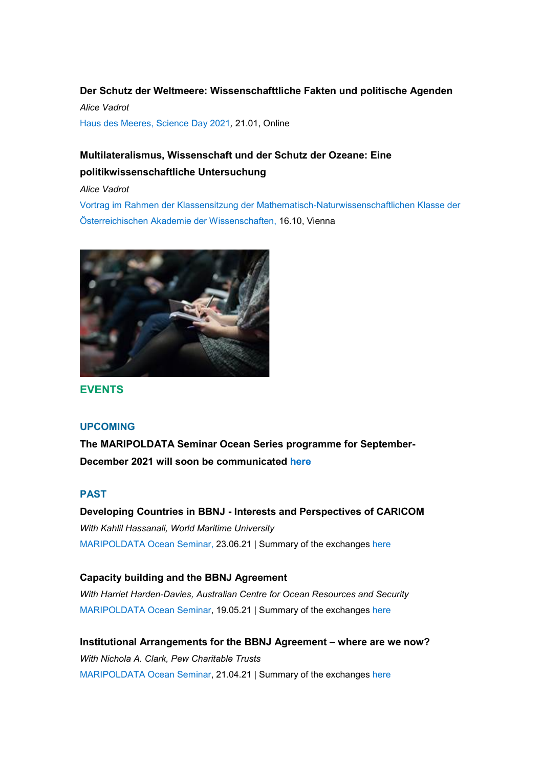## **Der Schutz der Weltmeere: Wissenschafttliche Fakten und politische Agenden**

*Alice Vadrot* [Haus des Meeres, Science Day 2021](https://www.maripoldata.eu/wp-content/uploads/2021/01/HdM_Einladung_ScienceDay2021.pdf)*,* 21.01, Online

# **Multilateralismus, Wissenschaft und der Schutz der Ozeane: Eine politikwissenschaftliche Untersuchung**

*Alice Vadrot*

[Vortrag im Rahmen der Klassensitzung der Mathematisch-Naturwissenschaftlichen Klasse der](https://www.oeaw.ac.at/fileadmin/NEWS/2021/PDF/FuG_19_Multilateralismus.pdf)  [Österreichischen Akademie der Wissenschaften,](https://www.oeaw.ac.at/fileadmin/NEWS/2021/PDF/FuG_19_Multilateralismus.pdf) 16.10, Vienna



**EVENTS** 

## **UPCOMING**

**The MARIPOLDATA Seminar Ocean Series programme for September-December 2021 will soon be communicated [here](https://www.maripoldata.eu/newsevents/#oceanseminar)**

## **PAST**

**Developing Countries in BBNJ - Interests and Perspectives of CARICOM** *With Kahlil Hassanali, World Maritime University* [MARIPOLDATA Ocean Seminar,](https://www.maripoldata.eu/newsevents/#caricomseminar) 23.06.21 | Summary of the exchanges [here](https://www.maripoldata.eu/wp-content/uploads/2021/08/Summary_MARIPOLDATA-Ocean-Seminar_Caricom_slides1.pdf)

## **Capacity building and the BBNJ Agreement**

*With Harriet Harden-Davies, Australian Centre for Ocean Resources and Security*  [MARIPOLDATA Ocean Seminar,](https://www.maripoldata.eu/newsevents/#capacitybuildingseminar) 19.05.21 | Summary of the exchanges [here](https://www.maripoldata.eu/wp-content/uploads/2021/08/Summary_MARIPOLDATA-Ocean-Seminar_Capacity-Building.pdf)

**Institutional Arrangements for the BBNJ Agreement – where are we now?** *With Nichola A. Clark, Pew Charitable Trusts* [MARIPOLDATA Ocean Seminar,](https://www.maripoldata.eu/newsevents/#arrangementsseminar) 21.04.21 | Summary of the exchanges [here](https://www.maripoldata.eu/wp-content/uploads/2021/07/Summary_MARIPOLDATA-Ocean-Seminar_Institutional-Arrangements.pdf)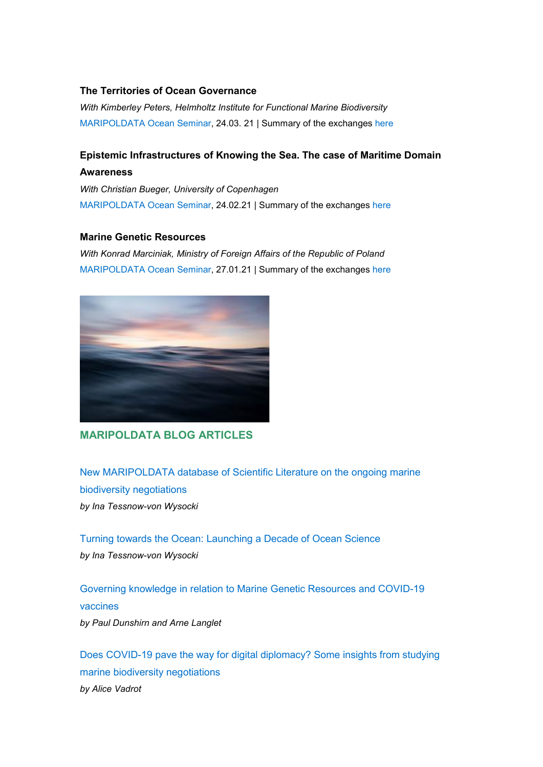### **The Territories of Ocean Governance**

*With Kimberley Peters, Helmholtz Institute for Functional Marine Biodiversity* [MARIPOLDATA Ocean Seminar,](https://www.maripoldata.eu/newsevents/#territoriesseminar) 24.03. 21 | Summary of the exchanges [here](https://www.maripoldata.eu/wp-content/uploads/2021/05/Summary_MARIPOLDATA-Ocean-Seminar_territory.pdf)

## **Epistemic Infrastructures of Knowing the Sea. The case of Maritime Domain Awareness**

*With Christian Bueger, University of Copenhagen* [MARIPOLDATA Ocean Seminar,](https://www.maripoldata.eu/newsevents/#epistemicseminar) 24.02.21 | Summary of the exchanges [here](https://www.maripoldata.eu/wp-content/uploads/2021/04/Summary_MARIPOLDATA-Ocean-Seminar_MDA.pdf)

### **Marine Genetic Resources**

*With Konrad Marciniak, Ministry of Foreign Affairs of the Republic of Poland* [MARIPOLDATA Ocean Seminar,](https://www.maripoldata.eu/newsevents/#geneticresourcesseminar) 27.01.21 | Summary of the exchanges [here](https://www.maripoldata.eu/wp-content/uploads/2021/03/MARIPOLDATA-Ocean-Seminar_MGRs_Summary_Slides.pdf)



## **MARIPOLDATA BLOG ARTICLES**

[New MARIPOLDATA database of Scientific Literature on the ongoing marine](https://www.maripoldata.eu/what-do-we-know-about-bbnj-new-maripoldata-database-of-scientific-literature-on-the-ongoing-marine-biodiversity-negotiations/)  [biodiversity negotiations](https://www.maripoldata.eu/what-do-we-know-about-bbnj-new-maripoldata-database-of-scientific-literature-on-the-ongoing-marine-biodiversity-negotiations/)

*by Ina Tessnow-von Wysocki*

[Turning towards the Ocean: Launching a Decade of Ocean Science](https://www.maripoldata.eu/turning-towards-the-ocean-launching-a-decade-of-ocean-science/) *by Ina Tessnow-von Wysocki*

[Governing knowledge in relation to Marine Genetic Resources and COVID-19](https://www.maripoldata.eu/governing-knowledge-in-relation-to-marine-genetic-resources-and-covid-19-vaccines/)  [vaccines](https://www.maripoldata.eu/governing-knowledge-in-relation-to-marine-genetic-resources-and-covid-19-vaccines/) *by Paul Dunshirn and Arne Langlet*

[Does COVID-19 pave the way for digital diplomacy? Some insights from studying](https://www.maripoldata.eu/does-covid-19-pave-the-way-for-digital-diplomacy-some-insights-from-studying-marine-biodiversity-negotiations/)  [marine biodiversity negotiations](https://www.maripoldata.eu/does-covid-19-pave-the-way-for-digital-diplomacy-some-insights-from-studying-marine-biodiversity-negotiations/) *by Alice Vadrot*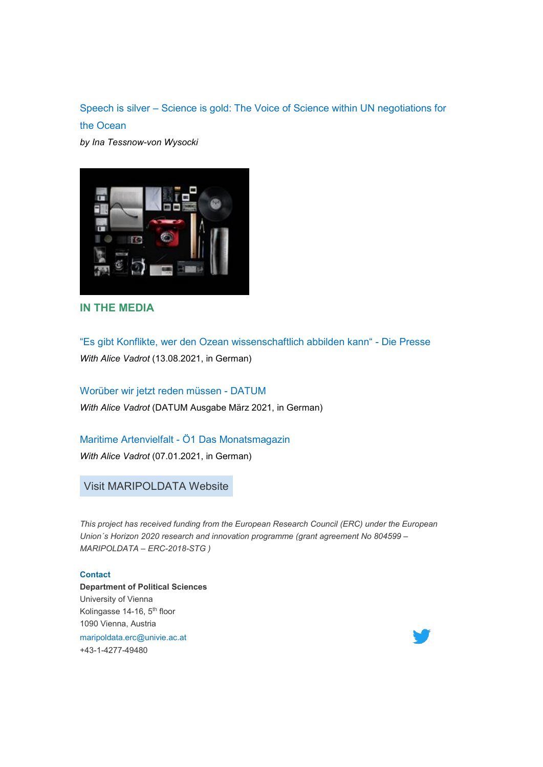Speech is silver – [Science is gold: The Voice of Science within UN negotiations for](https://www.maripoldata.eu/speech-is-silver-science-is-gold-the-voice-of-science-within-un-negotiations-for-the-ocean/)  [the Ocean](https://www.maripoldata.eu/speech-is-silver-science-is-gold-the-voice-of-science-within-un-negotiations-for-the-ocean/)

*by Ina Tessnow-von Wysocki*



**IN THE MEDIA**

["Es gibt Konflikte, wer den Ozean wissenschaftlich abbilden kann" -](https://www.diepresse.com/6020699/es-gibt-konflikte-wer-den-ozean-wissenschaftlich-abbilden-kann?from=rss) Die Presse *With Alice Vadrot* (13.08.2021, in German)

[Worüber wir jetzt reden müssen -](https://datum.at/worueber-wir-jetzt-reden-muessen/) DATUM *With Alice Vadrot* (DATUM Ausgabe März 2021, in German)

Maritime Artenvielfalt - [Ö1 Das Monatsmagazin](https://oe1.orf.at/programm/20210107/622502/Das-Monatsmagazin)

*With Alice Vadrot* (07.01.2021, in German)

Visit [MARIPOLDATA](https://www.maripoldata.eu/) Website

*This project has received funding from the European Research Council (ERC) under the European Union´s Horizon 2020 research and innovation programme (grant agreement No 804599 – MARIPOLDATA – ERC-2018-STG )*

#### **Contact**

**Department of Political Sciences** University of Vienna Kolingasse 14-16, 5<sup>th</sup> floor 1090 Vienna, Austria [maripoldata.erc@univie.ac.at](mailto:maripoldata.erc@univie.ac.at) +43-1-4277-49480